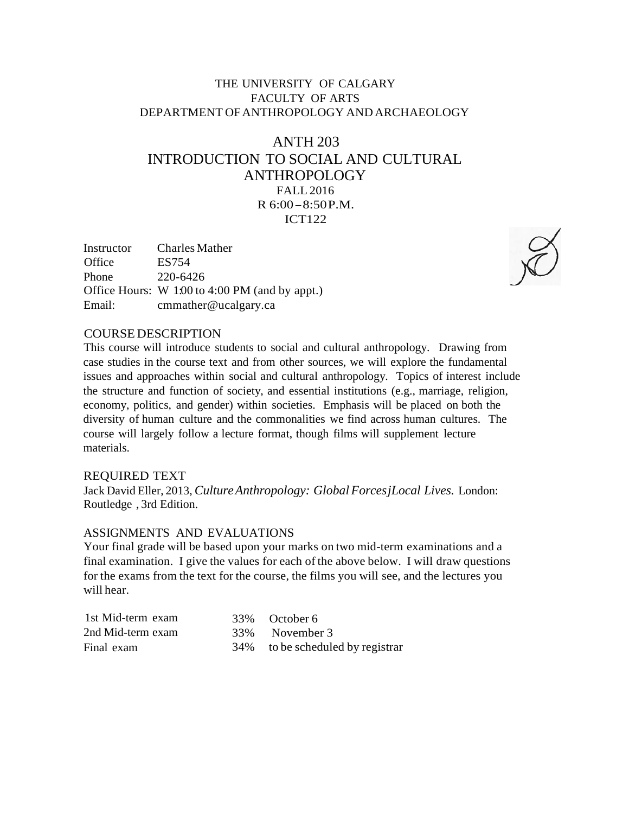# THE UNIVERSITY OF CALGARY FACULTY OF ARTS DEPARTMENT OFANTHROPOLOGY AND ARCHAEOLOGY

# ANTH 203 INTRODUCTION TO SOCIAL AND CULTURAL ANTHROPOLOGY FALL 2016 <sup>R</sup> 6:00-8:50P.M. ICT122

| Instructor | <b>Charles Mather</b>                          |
|------------|------------------------------------------------|
| Office     | ES754                                          |
| Phone      | 220-6426                                       |
|            | Office Hours: W 1.00 to 4:00 PM (and by appt.) |
| Email:     | cmmather@ucalgary.ca                           |



#### COURSE DESCRIPTION

This course will introduce students to social and cultural anthropology. Drawing from case studies in the course text and from other sources, we will explore the fundamental issues and approaches within social and cultural anthropology. Topics of interest include the structure and function of society, and essential institutions (e.g., marriage, religion, economy, politics, and gender) within societies. Emphasis will be placed on both the diversity of human culture and the commonalities we find across human cultures. The course will largely follow a lecture format, though films will supplement lecture materials.

#### REQUIRED TEXT

Jack David Eller, 2013, *CultureAnthropology: Global ForcesjLocal Lives.* London: Routledge , 3rd Edition.

#### ASSIGNMENTS AND EVALUATIONS

Your final grade will be based upon your marks on two mid-term examinations and a final examination. I give the values for each of the above below. I will draw questions for the exams from the text for the course, the films you will see, and the lectures you will hear.

| 1st Mid-term exam | 33\% October 6                   |
|-------------------|----------------------------------|
| 2nd Mid-term exam | 33\% November 3                  |
| Final exam        | 34% to be scheduled by registrar |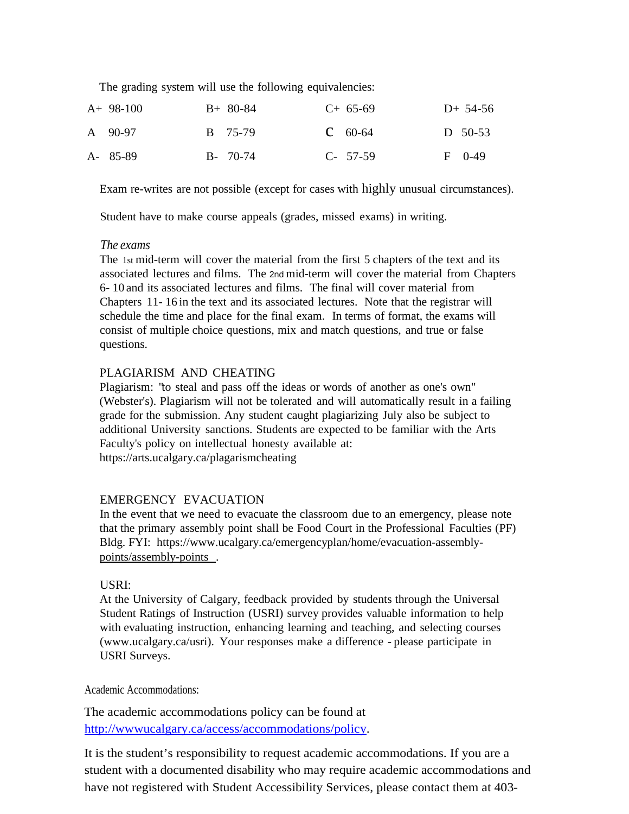The grading system will use the following equivalencies:

| $A+98-100$ | $B+80-84$   | $C+65-69$   | $D+ 54-56$ |
|------------|-------------|-------------|------------|
| A 90-97    | B 75-79     | $C = 60-64$ | D $50-53$  |
| A- 85-89   | $B - 70-74$ | $C-57-59$   | $F = 0-49$ |

Exam re-writes are not possible (except for cases with highly unusual circumstances).

Student have to make course appeals (grades, missed exams) in writing.

#### *The exams*

The 1st mid-term will cover the material from the first 5 chapters of the text and its associated lectures and films. The 2nd mid-term will cover the material from Chapters 6- 10 and its associated lectures and films. The final will cover material from Chapters 11- 16 in the text and its associated lectures. Note that the registrar will schedule the time and place for the final exam. In terms of format, the exams will consist of multiple choice questions, mix and match questions, and true or false questions.

## PLAGIARISM AND CHEATING

Plagiarism: "to steal and pass off the ideas or words of another as one's own" (Webster's). Plagiarism will not be tolerated and will automatically result in a failing grade for the submission. Any student caught plagiarizing July also be subject to additional University sanctions. Students are expected to be familiar with the Arts Faculty's policy on intellectual honesty available at: https://arts.ucalgary.ca/plagarismcheating

## EMERGENCY EVACUATION

In the event that we need to evacuate the classroom due to an emergency, please note that the primary assembly point shall be Food Court in the Professional Faculties (PF) Bldg. FYI: [https://www.ucalgary.ca/emergencyplan/home/evacuation-assembly](http://www.ucalgary.ca/emergencyplan/home/evacuation-assembly)points/assembly-points .

## USRI:

At the University of Calgary, feedback provided by students through the Universal Student Ratings of Instruction (USRI) survey provides valuable information to help with evaluating instruction, enhancing learning and teaching, and selecting courses [\(www.ucalgary.ca/usri\).](http://www.ucalgary.ca/usri)) Your responses make a difference - please participate in USRI Surveys.

Academic Accommodations:

The academic accommodations policy can be found at [http://wwwucalgary.ca/access/accommodations/policy.](http://wwwucalgary.ca/access/accommodations/policy)

It is the student's responsibility to request academic accommodations. If you are a student with a documented disability who may require academic accommodations and have not registered with Student Accessibility Services, please contact them at 403